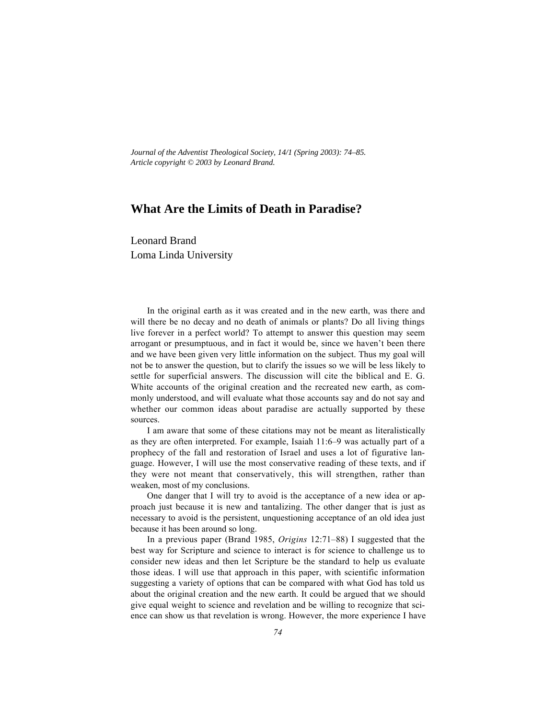*Journal of the Adventist Theological Society, 14/1 (Spring 2003): 74–85. Article copyright © 2003 by Leonard Brand.*

# **What Are the Limits of Death in Paradise?**

Leonard Brand Loma Linda University

In the original earth as it was created and in the new earth, was there and will there be no decay and no death of animals or plants? Do all living things live forever in a perfect world? To attempt to answer this question may seem arrogant or presumptuous, and in fact it would be, since we haven't been there and we have been given very little information on the subject. Thus my goal will not be to answer the question, but to clarify the issues so we will be less likely to settle for superficial answers. The discussion will cite the biblical and E. G. White accounts of the original creation and the recreated new earth, as commonly understood, and will evaluate what those accounts say and do not say and whether our common ideas about paradise are actually supported by these sources.

I am aware that some of these citations may not be meant as literalistically as they are often interpreted. For example, Isaiah 11:6–9 was actually part of a prophecy of the fall and restoration of Israel and uses a lot of figurative language. However, I will use the most conservative reading of these texts, and if they were not meant that conservatively, this will strengthen, rather than weaken, most of my conclusions.

One danger that I will try to avoid is the acceptance of a new idea or approach just because it is new and tantalizing. The other danger that is just as necessary to avoid is the persistent, unquestioning acceptance of an old idea just because it has been around so long.

In a previous paper (Brand 1985, *Origins* 12:71–88) I suggested that the best way for Scripture and science to interact is for science to challenge us to consider new ideas and then let Scripture be the standard to help us evaluate those ideas. I will use that approach in this paper, with scientific information suggesting a variety of options that can be compared with what God has told us about the original creation and the new earth. It could be argued that we should give equal weight to science and revelation and be willing to recognize that science can show us that revelation is wrong. However, the more experience I have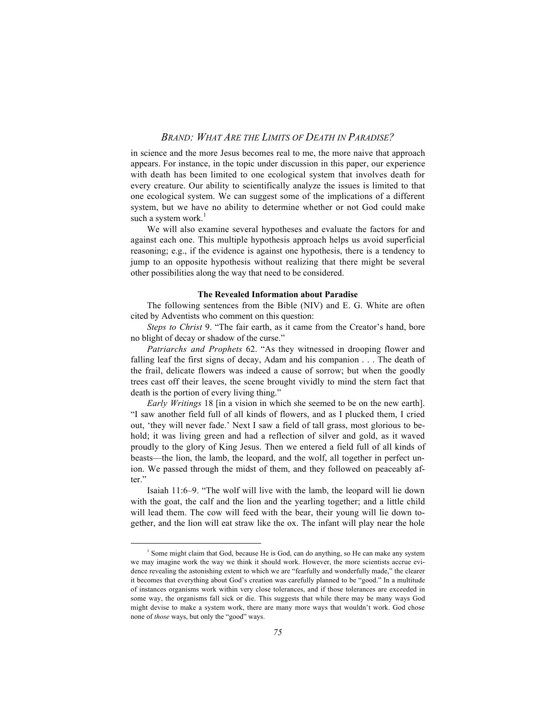in science and the more Jesus becomes real to me, the more naive that approach appears. For instance, in the topic under discussion in this paper, our experience with death has been limited to one ecological system that involves death for every creature. Our ability to scientifically analyze the issues is limited to that one ecological system. We can suggest some of the implications of a different system, but we have no ability to determine whether or not God could make such a system work. $<sup>1</sup>$ </sup>

We will also examine several hypotheses and evaluate the factors for and against each one. This multiple hypothesis approach helps us avoid superficial reasoning; e.g., if the evidence is against one hypothesis, there is a tendency to jump to an opposite hypothesis without realizing that there might be several other possibilities along the way that need to be considered.

#### **The Revealed Information about Paradise**

The following sentences from the Bible (NIV) and E. G. White are often cited by Adventists who comment on this question:

*Steps to Christ* 9. "The fair earth, as it came from the Creator's hand, bore no blight of decay or shadow of the curse."

*Patriarchs and Prophets* 62. "As they witnessed in drooping flower and falling leaf the first signs of decay, Adam and his companion . . . The death of the frail, delicate flowers was indeed a cause of sorrow; but when the goodly trees cast off their leaves, the scene brought vividly to mind the stern fact that death is the portion of every living thing."

*Early Writings* 18 [in a vision in which she seemed to be on the new earth]. "I saw another field full of all kinds of flowers, and as I plucked them, I cried out, 'they will never fade.' Next I saw a field of tall grass, most glorious to behold; it was living green and had a reflection of silver and gold, as it waved proudly to the glory of King Jesus. Then we entered a field full of all kinds of beasts—the lion, the lamb, the leopard, and the wolf, all together in perfect union. We passed through the midst of them, and they followed on peaceably after."

Isaiah 11:6–9. "The wolf will live with the lamb, the leopard will lie down with the goat, the calf and the lion and the yearling together; and a little child will lead them. The cow will feed with the bear, their young will lie down together, and the lion will eat straw like the ox. The infant will play near the hole

 $\frac{1}{1}$  $<sup>1</sup>$  Some might claim that God, because He is God, can do anything, so He can make any system</sup> we may imagine work the way we think it should work. However, the more scientists accrue evidence revealing the astonishing extent to which we are "fearfully and wonderfully made," the clearer it becomes that everything about God's creation was carefully planned to be "good." In a multitude of instances organisms work within very close tolerances, and if those tolerances are exceeded in some way, the organisms fall sick or die. This suggests that while there may be many ways God might devise to make a system work, there are many more ways that wouldn't work. God chose none of *those* ways, but only the "good" ways.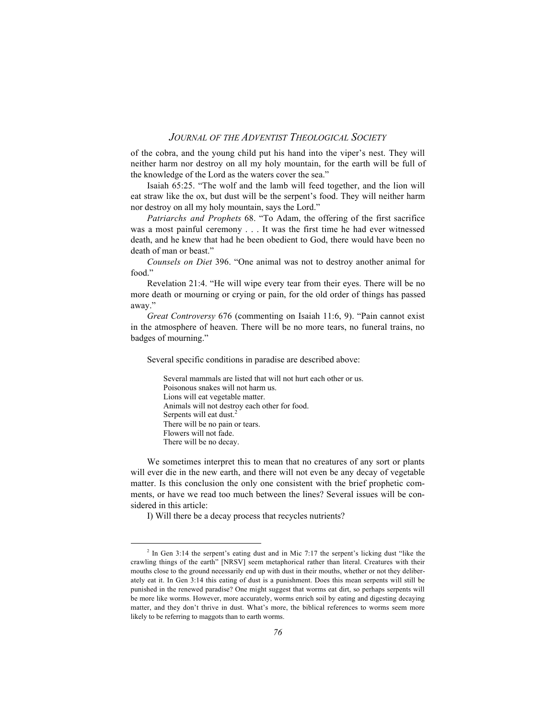of the cobra, and the young child put his hand into the viper's nest. They will neither harm nor destroy on all my holy mountain, for the earth will be full of the knowledge of the Lord as the waters cover the sea."

Isaiah 65:25. "The wolf and the lamb will feed together, and the lion will eat straw like the ox, but dust will be the serpent's food. They will neither harm nor destroy on all my holy mountain, says the Lord."

*Patriarchs and Prophets* 68. "To Adam, the offering of the first sacrifice was a most painful ceremony . . . It was the first time he had ever witnessed death, and he knew that had he been obedient to God, there would have been no death of man or beast."

*Counsels on Diet* 396. "One animal was not to destroy another animal for food."

Revelation 21:4. "He will wipe every tear from their eyes. There will be no more death or mourning or crying or pain, for the old order of things has passed away."

*Great Controversy* 676 (commenting on Isaiah 11:6, 9). "Pain cannot exist in the atmosphere of heaven. There will be no more tears, no funeral trains, no badges of mourning."

Several specific conditions in paradise are described above:

Several mammals are listed that will not hurt each other or us. Poisonous snakes will not harm us. Lions will eat vegetable matter. Animals will not destroy each other for food. Serpents will eat dust.<sup>2</sup> There will be no pain or tears. Flowers will not fade. There will be no decay.

We sometimes interpret this to mean that no creatures of any sort or plants will ever die in the new earth, and there will not even be any decay of vegetable matter. Is this conclusion the only one consistent with the brief prophetic comments, or have we read too much between the lines? Several issues will be considered in this article:

I) Will there be a decay process that recycles nutrients?

 $\frac{1}{2}$  $2$  In Gen 3:14 the serpent's eating dust and in Mic 7:17 the serpent's licking dust "like the crawling things of the earth" [NRSV] seem metaphorical rather than literal. Creatures with their mouths close to the ground necessarily end up with dust in their mouths, whether or not they deliberately eat it. In Gen 3:14 this eating of dust is a punishment. Does this mean serpents will still be punished in the renewed paradise? One might suggest that worms eat dirt, so perhaps serpents will be more like worms. However, more accurately, worms enrich soil by eating and digesting decaying matter, and they don't thrive in dust. What's more, the biblical references to worms seem more likely to be referring to maggots than to earth worms.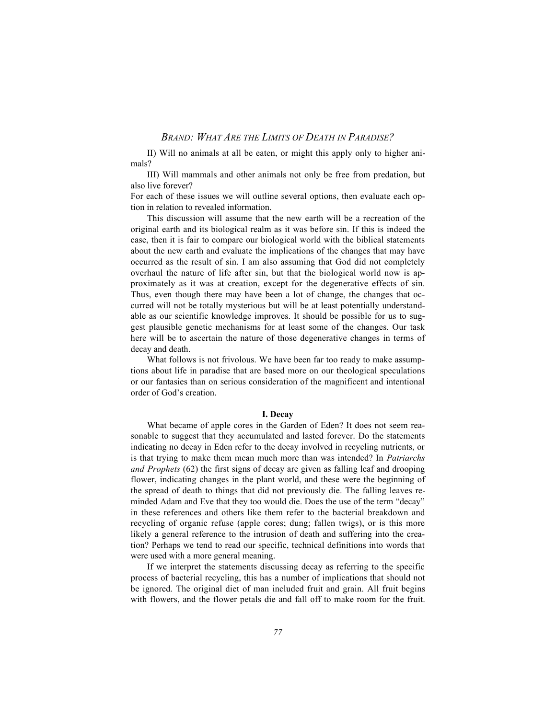II) Will no animals at all be eaten, or might this apply only to higher animals?

III) Will mammals and other animals not only be free from predation, but also live forever?

For each of these issues we will outline several options, then evaluate each option in relation to revealed information.

This discussion will assume that the new earth will be a recreation of the original earth and its biological realm as it was before sin. If this is indeed the case, then it is fair to compare our biological world with the biblical statements about the new earth and evaluate the implications of the changes that may have occurred as the result of sin. I am also assuming that God did not completely overhaul the nature of life after sin, but that the biological world now is approximately as it was at creation, except for the degenerative effects of sin. Thus, even though there may have been a lot of change, the changes that occurred will not be totally mysterious but will be at least potentially understandable as our scientific knowledge improves. It should be possible for us to suggest plausible genetic mechanisms for at least some of the changes. Our task here will be to ascertain the nature of those degenerative changes in terms of decay and death.

What follows is not frivolous. We have been far too ready to make assumptions about life in paradise that are based more on our theological speculations or our fantasies than on serious consideration of the magnificent and intentional order of God's creation.

#### **I. Decay**

What became of apple cores in the Garden of Eden? It does not seem reasonable to suggest that they accumulated and lasted forever. Do the statements indicating no decay in Eden refer to the decay involved in recycling nutrients, or is that trying to make them mean much more than was intended? In *Patriarchs and Prophets* (62) the first signs of decay are given as falling leaf and drooping flower, indicating changes in the plant world, and these were the beginning of the spread of death to things that did not previously die. The falling leaves reminded Adam and Eve that they too would die. Does the use of the term "decay" in these references and others like them refer to the bacterial breakdown and recycling of organic refuse (apple cores; dung; fallen twigs), or is this more likely a general reference to the intrusion of death and suffering into the creation? Perhaps we tend to read our specific, technical definitions into words that were used with a more general meaning.

If we interpret the statements discussing decay as referring to the specific process of bacterial recycling, this has a number of implications that should not be ignored. The original diet of man included fruit and grain. All fruit begins with flowers, and the flower petals die and fall off to make room for the fruit.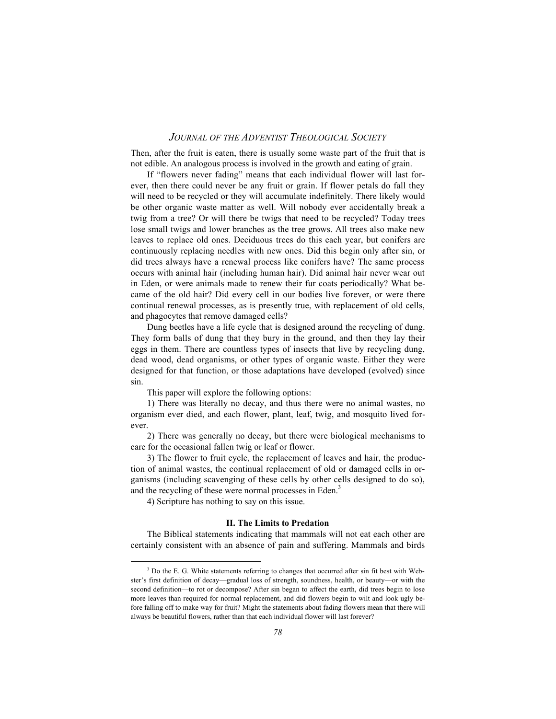Then, after the fruit is eaten, there is usually some waste part of the fruit that is not edible. An analogous process is involved in the growth and eating of grain.

If "flowers never fading" means that each individual flower will last forever, then there could never be any fruit or grain. If flower petals do fall they will need to be recycled or they will accumulate indefinitely. There likely would be other organic waste matter as well. Will nobody ever accidentally break a twig from a tree? Or will there be twigs that need to be recycled? Today trees lose small twigs and lower branches as the tree grows. All trees also make new leaves to replace old ones. Deciduous trees do this each year, but conifers are continuously replacing needles with new ones. Did this begin only after sin, or did trees always have a renewal process like conifers have? The same process occurs with animal hair (including human hair). Did animal hair never wear out in Eden, or were animals made to renew their fur coats periodically? What became of the old hair? Did every cell in our bodies live forever, or were there continual renewal processes, as is presently true, with replacement of old cells, and phagocytes that remove damaged cells?

Dung beetles have a life cycle that is designed around the recycling of dung. They form balls of dung that they bury in the ground, and then they lay their eggs in them. There are countless types of insects that live by recycling dung, dead wood, dead organisms, or other types of organic waste. Either they were designed for that function, or those adaptations have developed (evolved) since sin.

This paper will explore the following options:

1) There was literally no decay, and thus there were no animal wastes, no organism ever died, and each flower, plant, leaf, twig, and mosquito lived forever.

2) There was generally no decay, but there were biological mechanisms to care for the occasional fallen twig or leaf or flower.

3) The flower to fruit cycle, the replacement of leaves and hair, the production of animal wastes, the continual replacement of old or damaged cells in organisms (including scavenging of these cells by other cells designed to do so), and the recycling of these were normal processes in Eden.<sup>3</sup>

4) Scripture has nothing to say on this issue.

## **II. The Limits to Predation**

The Biblical statements indicating that mammals will not eat each other are certainly consistent with an absence of pain and suffering. Mammals and birds

 $\overline{\phantom{a}}$ <sup>3</sup> Do the E. G. White statements referring to changes that occurred after sin fit best with Webster's first definition of decay—gradual loss of strength, soundness, health, or beauty—or with the second definition—to rot or decompose? After sin began to affect the earth, did trees begin to lose more leaves than required for normal replacement, and did flowers begin to wilt and look ugly before falling off to make way for fruit? Might the statements about fading flowers mean that there will always be beautiful flowers, rather than that each individual flower will last forever?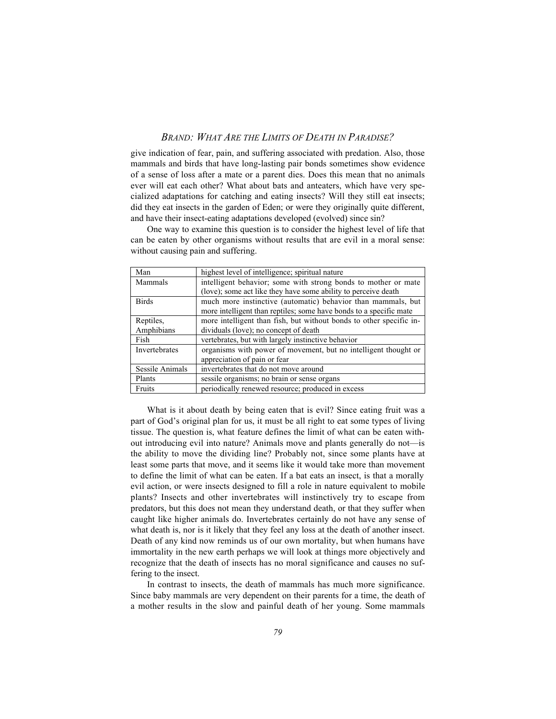give indication of fear, pain, and suffering associated with predation. Also, those mammals and birds that have long-lasting pair bonds sometimes show evidence of a sense of loss after a mate or a parent dies. Does this mean that no animals ever will eat each other? What about bats and anteaters, which have very specialized adaptations for catching and eating insects? Will they still eat insects; did they eat insects in the garden of Eden; or were they originally quite different, and have their insect-eating adaptations developed (evolved) since sin?

One way to examine this question is to consider the highest level of life that can be eaten by other organisms without results that are evil in a moral sense: without causing pain and suffering.

| Man             | highest level of intelligence; spiritual nature                                                                                    |  |  |
|-----------------|------------------------------------------------------------------------------------------------------------------------------------|--|--|
| Mammals         | intelligent behavior; some with strong bonds to mother or mate                                                                     |  |  |
|                 | (love); some act like they have some ability to perceive death                                                                     |  |  |
| <b>Birds</b>    | much more instinctive (automatic) behavior than mammals, but<br>more intelligent than reptiles; some have bonds to a specific mate |  |  |
| Reptiles,       | more intelligent than fish, but without bonds to other specific in-                                                                |  |  |
| Amphibians      | dividuals (love); no concept of death                                                                                              |  |  |
| Fish            | vertebrates, but with largely instinctive behavior                                                                                 |  |  |
| Invertebrates   | organisms with power of movement, but no intelligent thought or                                                                    |  |  |
|                 | appreciation of pain or fear                                                                                                       |  |  |
| Sessile Animals | invertebrates that do not move around                                                                                              |  |  |
| Plants          | sessile organisms; no brain or sense organs                                                                                        |  |  |
| Fruits          | periodically renewed resource; produced in excess                                                                                  |  |  |

What is it about death by being eaten that is evil? Since eating fruit was a part of God's original plan for us, it must be all right to eat some types of living tissue. The question is, what feature defines the limit of what can be eaten without introducing evil into nature? Animals move and plants generally do not—is the ability to move the dividing line? Probably not, since some plants have at least some parts that move, and it seems like it would take more than movement to define the limit of what can be eaten. If a bat eats an insect, is that a morally evil action, or were insects designed to fill a role in nature equivalent to mobile plants? Insects and other invertebrates will instinctively try to escape from predators, but this does not mean they understand death, or that they suffer when caught like higher animals do. Invertebrates certainly do not have any sense of what death is, nor is it likely that they feel any loss at the death of another insect. Death of any kind now reminds us of our own mortality, but when humans have immortality in the new earth perhaps we will look at things more objectively and recognize that the death of insects has no moral significance and causes no suffering to the insect.

In contrast to insects, the death of mammals has much more significance. Since baby mammals are very dependent on their parents for a time, the death of a mother results in the slow and painful death of her young. Some mammals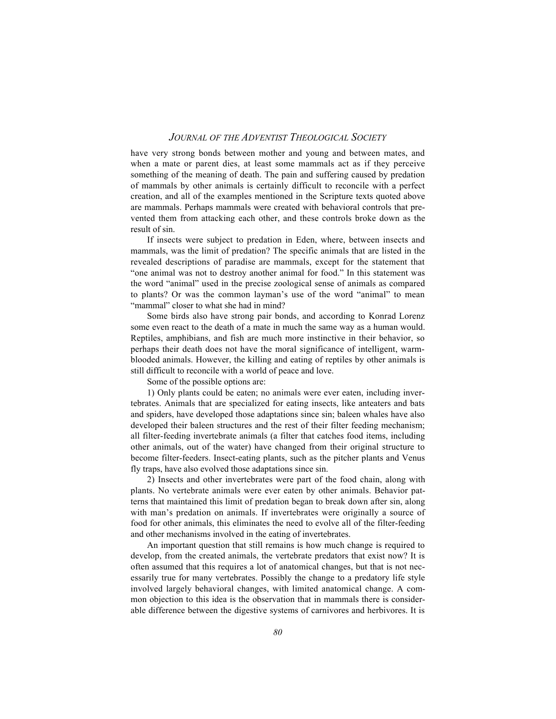have very strong bonds between mother and young and between mates, and when a mate or parent dies, at least some mammals act as if they perceive something of the meaning of death. The pain and suffering caused by predation of mammals by other animals is certainly difficult to reconcile with a perfect creation, and all of the examples mentioned in the Scripture texts quoted above are mammals. Perhaps mammals were created with behavioral controls that prevented them from attacking each other, and these controls broke down as the result of sin.

If insects were subject to predation in Eden, where, between insects and mammals, was the limit of predation? The specific animals that are listed in the revealed descriptions of paradise are mammals, except for the statement that "one animal was not to destroy another animal for food." In this statement was the word "animal" used in the precise zoological sense of animals as compared to plants? Or was the common layman's use of the word "animal" to mean "mammal" closer to what she had in mind?

Some birds also have strong pair bonds, and according to Konrad Lorenz some even react to the death of a mate in much the same way as a human would. Reptiles, amphibians, and fish are much more instinctive in their behavior, so perhaps their death does not have the moral significance of intelligent, warmblooded animals. However, the killing and eating of reptiles by other animals is still difficult to reconcile with a world of peace and love.

Some of the possible options are:

1) Only plants could be eaten; no animals were ever eaten, including invertebrates. Animals that are specialized for eating insects, like anteaters and bats and spiders, have developed those adaptations since sin; baleen whales have also developed their baleen structures and the rest of their filter feeding mechanism; all filter-feeding invertebrate animals (a filter that catches food items, including other animals, out of the water) have changed from their original structure to become filter-feeders. Insect-eating plants, such as the pitcher plants and Venus fly traps, have also evolved those adaptations since sin.

2) Insects and other invertebrates were part of the food chain, along with plants. No vertebrate animals were ever eaten by other animals. Behavior patterns that maintained this limit of predation began to break down after sin, along with man's predation on animals. If invertebrates were originally a source of food for other animals, this eliminates the need to evolve all of the filter-feeding and other mechanisms involved in the eating of invertebrates.

An important question that still remains is how much change is required to develop, from the created animals, the vertebrate predators that exist now? It is often assumed that this requires a lot of anatomical changes, but that is not necessarily true for many vertebrates. Possibly the change to a predatory life style involved largely behavioral changes, with limited anatomical change. A common objection to this idea is the observation that in mammals there is considerable difference between the digestive systems of carnivores and herbivores. It is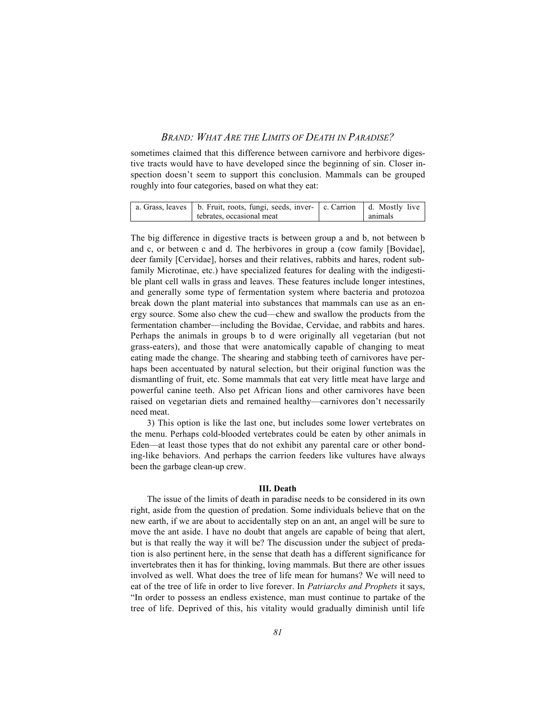sometimes claimed that this difference between carnivore and herbivore digestive tracts would have to have developed since the beginning of sin. Closer inspection doesn't seem to support this conclusion. Mammals can be grouped roughly into four categories, based on what they eat:

| a. Grass, leaves   b. Fruit, roots, fungi, seeds, inver-   c. Carrion   d. Mostly live |         |
|----------------------------------------------------------------------------------------|---------|
| tebrates, occasional meat                                                              | animals |

The big difference in digestive tracts is between group a and b, not between b and c, or between c and d. The herbivores in group a (cow family [Bovidae], deer family [Cervidae], horses and their relatives, rabbits and hares, rodent subfamily Microtinae, etc.) have specialized features for dealing with the indigestible plant cell walls in grass and leaves. These features include longer intestines, and generally some type of fermentation system where bacteria and protozoa break down the plant material into substances that mammals can use as an energy source. Some also chew the cud—chew and swallow the products from the fermentation chamber—including the Bovidae, Cervidae, and rabbits and hares. Perhaps the animals in groups b to d were originally all vegetarian (but not grass-eaters), and those that were anatomically capable of changing to meat eating made the change. The shearing and stabbing teeth of carnivores have perhaps been accentuated by natural selection, but their original function was the dismantling of fruit, etc. Some mammals that eat very little meat have large and powerful canine teeth. Also pet African lions and other carnivores have been raised on vegetarian diets and remained healthy—carnivores don't necessarily need meat.

3) This option is like the last one, but includes some lower vertebrates on the menu. Perhaps cold-blooded vertebrates could be eaten by other animals in Eden—at least those types that do not exhibit any parental care or other bonding-like behaviors. And perhaps the carrion feeders like vultures have always been the garbage clean-up crew.

#### **III. Death**

The issue of the limits of death in paradise needs to be considered in its own right, aside from the question of predation. Some individuals believe that on the new earth, if we are about to accidentally step on an ant, an angel will be sure to move the ant aside. I have no doubt that angels are capable of being that alert, but is that really the way it will be? The discussion under the subject of predation is also pertinent here, in the sense that death has a different significance for invertebrates then it has for thinking, loving mammals. But there are other issues involved as well. What does the tree of life mean for humans? We will need to eat of the tree of life in order to live forever. In *Patriarchs and Prophets* it says, "In order to possess an endless existence, man must continue to partake of the tree of life. Deprived of this, his vitality would gradually diminish until life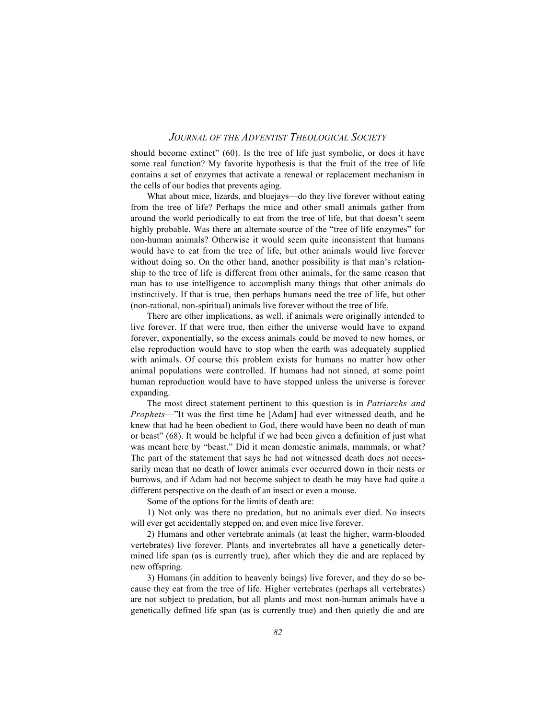should become extinct" (60). Is the tree of life just symbolic, or does it have some real function? My favorite hypothesis is that the fruit of the tree of life contains a set of enzymes that activate a renewal or replacement mechanism in the cells of our bodies that prevents aging.

What about mice, lizards, and bluejays—do they live forever without eating from the tree of life? Perhaps the mice and other small animals gather from around the world periodically to eat from the tree of life, but that doesn't seem highly probable. Was there an alternate source of the "tree of life enzymes" for non-human animals? Otherwise it would seem quite inconsistent that humans would have to eat from the tree of life, but other animals would live forever without doing so. On the other hand, another possibility is that man's relationship to the tree of life is different from other animals, for the same reason that man has to use intelligence to accomplish many things that other animals do instinctively. If that is true, then perhaps humans need the tree of life, but other (non-rational, non-spiritual) animals live forever without the tree of life.

There are other implications, as well, if animals were originally intended to live forever. If that were true, then either the universe would have to expand forever, exponentially, so the excess animals could be moved to new homes, or else reproduction would have to stop when the earth was adequately supplied with animals. Of course this problem exists for humans no matter how other animal populations were controlled. If humans had not sinned, at some point human reproduction would have to have stopped unless the universe is forever expanding.

The most direct statement pertinent to this question is in *Patriarchs and Prophets*—"It was the first time he [Adam] had ever witnessed death, and he knew that had he been obedient to God, there would have been no death of man or beast" (68). It would be helpful if we had been given a definition of just what was meant here by "beast." Did it mean domestic animals, mammals, or what? The part of the statement that says he had not witnessed death does not necessarily mean that no death of lower animals ever occurred down in their nests or burrows, and if Adam had not become subject to death he may have had quite a different perspective on the death of an insect or even a mouse.

Some of the options for the limits of death are:

1) Not only was there no predation, but no animals ever died. No insects will ever get accidentally stepped on, and even mice live forever.

2) Humans and other vertebrate animals (at least the higher, warm-blooded vertebrates) live forever. Plants and invertebrates all have a genetically determined life span (as is currently true), after which they die and are replaced by new offspring.

3) Humans (in addition to heavenly beings) live forever, and they do so because they eat from the tree of life. Higher vertebrates (perhaps all vertebrates) are not subject to predation, but all plants and most non-human animals have a genetically defined life span (as is currently true) and then quietly die and are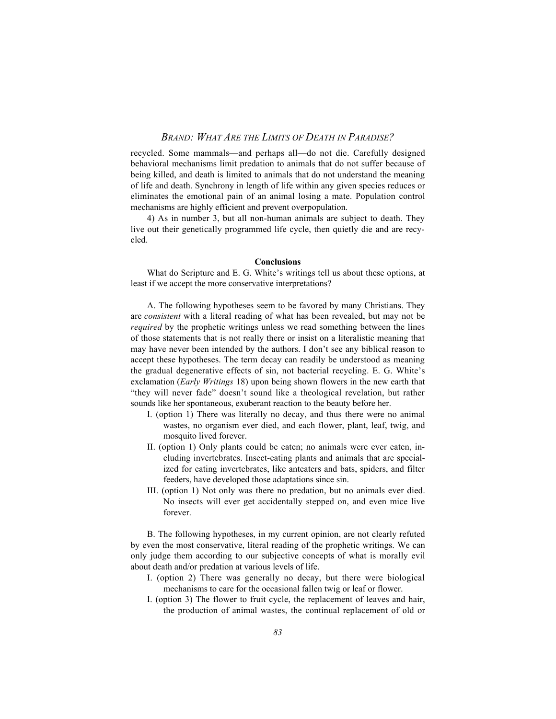recycled. Some mammals—and perhaps all—do not die. Carefully designed behavioral mechanisms limit predation to animals that do not suffer because of being killed, and death is limited to animals that do not understand the meaning of life and death. Synchrony in length of life within any given species reduces or eliminates the emotional pain of an animal losing a mate. Population control mechanisms are highly efficient and prevent overpopulation.

4) As in number 3, but all non-human animals are subject to death. They live out their genetically programmed life cycle, then quietly die and are recycled.

#### **Conclusions**

What do Scripture and E. G. White's writings tell us about these options, at least if we accept the more conservative interpretations?

A. The following hypotheses seem to be favored by many Christians. They are *consistent* with a literal reading of what has been revealed, but may not be *required* by the prophetic writings unless we read something between the lines of those statements that is not really there or insist on a literalistic meaning that may have never been intended by the authors. I don't see any biblical reason to accept these hypotheses. The term decay can readily be understood as meaning the gradual degenerative effects of sin, not bacterial recycling. E. G. White's exclamation (*Early Writings* 18) upon being shown flowers in the new earth that "they will never fade" doesn't sound like a theological revelation, but rather sounds like her spontaneous, exuberant reaction to the beauty before her.

- I. (option 1) There was literally no decay, and thus there were no animal wastes, no organism ever died, and each flower, plant, leaf, twig, and mosquito lived forever.
- II. (option 1) Only plants could be eaten; no animals were ever eaten, including invertebrates. Insect-eating plants and animals that are specialized for eating invertebrates, like anteaters and bats, spiders, and filter feeders, have developed those adaptations since sin.
- III. (option 1) Not only was there no predation, but no animals ever died. No insects will ever get accidentally stepped on, and even mice live forever.

B. The following hypotheses, in my current opinion, are not clearly refuted by even the most conservative, literal reading of the prophetic writings. We can only judge them according to our subjective concepts of what is morally evil about death and/or predation at various levels of life.

- I. (option 2) There was generally no decay, but there were biological mechanisms to care for the occasional fallen twig or leaf or flower.
- I. (option 3) The flower to fruit cycle, the replacement of leaves and hair, the production of animal wastes, the continual replacement of old or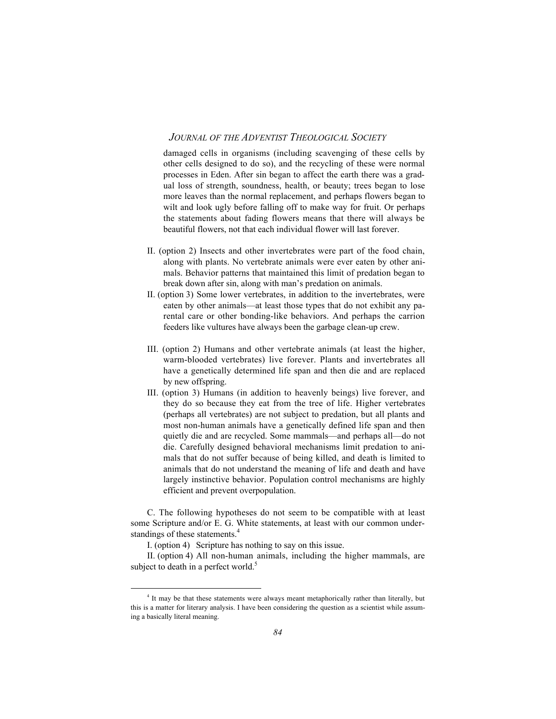damaged cells in organisms (including scavenging of these cells by other cells designed to do so), and the recycling of these were normal processes in Eden. After sin began to affect the earth there was a gradual loss of strength, soundness, health, or beauty; trees began to lose more leaves than the normal replacement, and perhaps flowers began to wilt and look ugly before falling off to make way for fruit. Or perhaps the statements about fading flowers means that there will always be beautiful flowers, not that each individual flower will last forever.

- II. (option 2) Insects and other invertebrates were part of the food chain, along with plants. No vertebrate animals were ever eaten by other animals. Behavior patterns that maintained this limit of predation began to break down after sin, along with man's predation on animals.
- II. (option 3) Some lower vertebrates, in addition to the invertebrates, were eaten by other animals—at least those types that do not exhibit any parental care or other bonding-like behaviors. And perhaps the carrion feeders like vultures have always been the garbage clean-up crew.
- III. (option 2) Humans and other vertebrate animals (at least the higher, warm-blooded vertebrates) live forever. Plants and invertebrates all have a genetically determined life span and then die and are replaced by new offspring.
- III. (option 3) Humans (in addition to heavenly beings) live forever, and they do so because they eat from the tree of life. Higher vertebrates (perhaps all vertebrates) are not subject to predation, but all plants and most non-human animals have a genetically defined life span and then quietly die and are recycled. Some mammals—and perhaps all—do not die. Carefully designed behavioral mechanisms limit predation to animals that do not suffer because of being killed, and death is limited to animals that do not understand the meaning of life and death and have largely instinctive behavior. Population control mechanisms are highly efficient and prevent overpopulation.

C. The following hypotheses do not seem to be compatible with at least some Scripture and/or E. G. White statements, at least with our common understandings of these statements.<sup>4</sup>

I. (option 4) Scripture has nothing to say on this issue.

II. (option 4) All non-human animals, including the higher mammals, are subject to death in a perfect world. $5$ 

 $\frac{1}{4}$ <sup>4</sup> It may be that these statements were always meant metaphorically rather than literally, but this is a matter for literary analysis. I have been considering the question as a scientist while assuming a basically literal meaning.